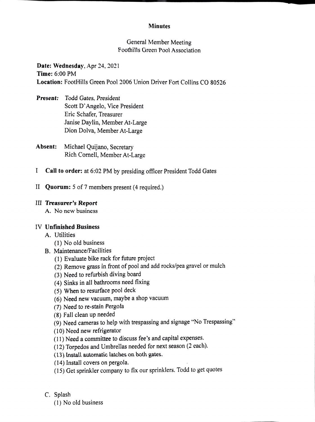#### Minutes

General Member Meeting Foothills Green Pool Association

Date: Wednesday, Apr 24, 2021 Time: 6:00 PM Location: FootHills Green Pool 2006 Union Driver Fort Collins CO 80526

- Present: Todd Gates, President Scott D' Angelo, Vice President Eric Schafer, Treasurer Janise Daylin, Member At-Large Dion Dolva, Member At-Large
- Absent: Michael Quijano, Secretary Rich Cornell, Member At-Large
- I Call to order: at 6:02 PM by presiding officer President Todd Gates
- II Quorum: 5 of 7 members present (4 required.)

### III Treasurer's Report

A. No new business

### IV Unfinished Business

- A. Utilities
	- (1) No old business
- B. Maintenance/Facilities
	- (1) Evaluate bike rack for future project
	- (2) Remove grass in front of pool and add rocks/pea gravel or mulch
	- (3) Need to refurbish diving board
	- (4) Sinks in all bathrooms need fixing
	- (5) When to resurface pool deck
	- (6) Need new vacuum, maybe a shop vacuum
	- (7) Need to re-stain Pergola
	- (8) Fall clean up needed
	- (9) Need cameras to help with trespassing and signage "No Trespassing"
	- (10) Need new refrigerator
	- (11) Need a committee to discuss fee's and capital expenses.
	- (12) Torpedos and Umbrellas needed for next season (2 each).
	- (13) Install automatic latches on both gates.
	- (14) Install covers on pergola.
	- (15) Get sprinkler company to fix our sprinklers. Todd to get quotes
- C. Splash
	- (1) No old business